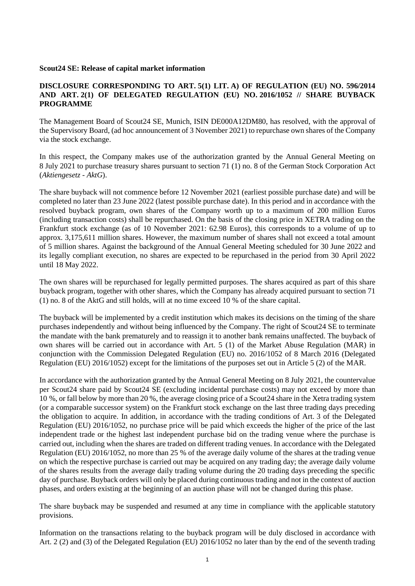## **Scout24 SE: Release of capital market information**

## **DISCLOSURE CORRESPONDING TO ART. 5(1) LIT. A) OF REGULATION (EU) NO. 596/2014 AND ART. 2(1) OF DELEGATED REGULATION (EU) NO. 2016/1052 // SHARE BUYBACK PROGRAMME**

The Management Board of Scout24 SE, Munich, ISIN DE000A12DM80, has resolved, with the approval of the Supervisory Board, (ad hoc announcement of 3 November 2021) to repurchase own shares of the Company via the stock exchange.

In this respect, the Company makes use of the authorization granted by the Annual General Meeting on 8 July 2021 to purchase treasury shares pursuant to section 71 (1) no. 8 of the German Stock Corporation Act (*Aktiengesetz - AktG*).

The share buyback will not commence before 12 November 2021 (earliest possible purchase date) and will be completed no later than 23 June 2022 (latest possible purchase date). In this period and in accordance with the resolved buyback program, own shares of the Company worth up to a maximum of 200 million Euros (including transaction costs) shall be repurchased. On the basis of the closing price in XETRA trading on the Frankfurt stock exchange (as of 10 November 2021: 62.98 Euros), this corresponds to a volume of up to approx. 3,175,611 million shares. However, the maximum number of shares shall not exceed a total amount of 5 million shares. Against the background of the Annual General Meeting scheduled for 30 June 2022 and its legally compliant execution, no shares are expected to be repurchased in the period from 30 April 2022 until 18 May 2022.

The own shares will be repurchased for legally permitted purposes. The shares acquired as part of this share buyback program, together with other shares, which the Company has already acquired pursuant to section 71 (1) no. 8 of the AktG and still holds, will at no time exceed 10 % of the share capital.

The buyback will be implemented by a credit institution which makes its decisions on the timing of the share purchases independently and without being influenced by the Company. The right of Scout24 SE to terminate the mandate with the bank prematurely and to reassign it to another bank remains unaffected. The buyback of own shares will be carried out in accordance with Art. 5 (1) of the Market Abuse Regulation (MAR) in conjunction with the Commission Delegated Regulation (EU) no. 2016/1052 of 8 March 2016 (Delegated Regulation (EU) 2016/1052) except for the limitations of the purposes set out in Article 5 (2) of the MAR.

In accordance with the authorization granted by the Annual General Meeting on 8 July 2021, the countervalue per Scout24 share paid by Scout24 SE (excluding incidental purchase costs) may not exceed by more than 10 %, or fall below by more than 20 %, the average closing price of a Scout24 share in the Xetra trading system (or a comparable successor system) on the Frankfurt stock exchange on the last three trading days preceding the obligation to acquire. In addition, in accordance with the trading conditions of Art. 3 of the Delegated Regulation (EU) 2016/1052, no purchase price will be paid which exceeds the higher of the price of the last independent trade or the highest last independent purchase bid on the trading venue where the purchase is carried out, including when the shares are traded on different trading venues. In accordance with the Delegated Regulation (EU) 2016/1052, no more than 25 % of the average daily volume of the shares at the trading venue on which the respective purchase is carried out may be acquired on any trading day; the average daily volume of the shares results from the average daily trading volume during the 20 trading days preceding the specific day of purchase. Buyback orders will only be placed during continuous trading and not in the context of auction phases, and orders existing at the beginning of an auction phase will not be changed during this phase.

The share buyback may be suspended and resumed at any time in compliance with the applicable statutory provisions.

Information on the transactions relating to the buyback program will be duly disclosed in accordance with Art. 2 (2) and (3) of the Delegated Regulation (EU) 2016/1052 no later than by the end of the seventh trading